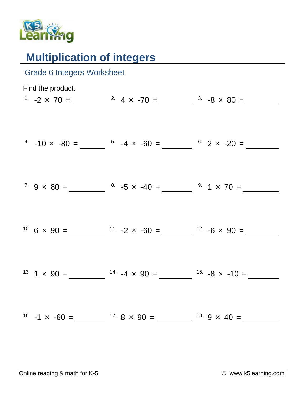

## **Multiplication of integers**

| <b>Grade 6 Integers Worksheet</b> |                                                                                                                                                                           |  |
|-----------------------------------|---------------------------------------------------------------------------------------------------------------------------------------------------------------------------|--|
| Find the product.                 | <sup>1</sup> $-2 \times 70 =$ $2 \times 4 \times -70 =$ $3 \times 80 =$                                                                                                   |  |
|                                   | <sup>4.</sup> $-10 \times -80 =$ $5. -4 \times -60 =$ $6. 2 \times -20 =$                                                                                                 |  |
|                                   | $7.9 \times 80 =$ $\frac{8.5 \times 40}{5} =$ $\frac{9.1 \times 70}{5} =$                                                                                                 |  |
|                                   | <sup>10.</sup> 6 $\times$ 90 = $\frac{11.2 \times -60}{1}$ = $\frac{12.2 \times -60}{12}$ = $\frac{12.2 \times -6 \times 90}{12}$ = $\frac{12.2 \times -6 \times 90}{12}$ |  |
|                                   | <sup>13.</sup> 1 $\times$ 90 = $\frac{14.4 \times 90}{14.4 \times 90}$ = $\frac{15.4 \times 10}{15.4 \times 10}$ = $\frac{1}{10.4 \times 10}$                             |  |
|                                   | <sup>16.</sup> $-1 \times -60 =$ $17.8 \times 90 =$ $18.9 \times 40 =$                                                                                                    |  |